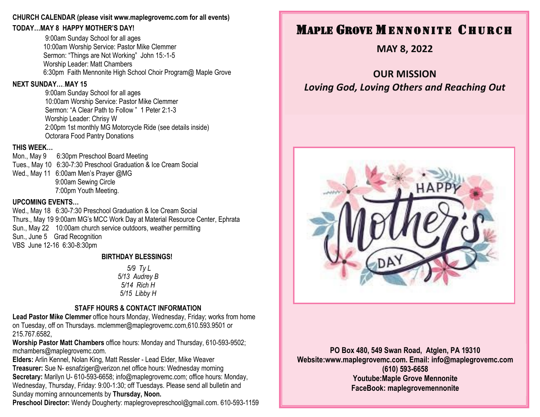#### **CHURCH CALENDAR (please visit www.maplegrovemc.com for all events)**

### **TODAY…MAY 8 HAPPY MOTHER'S DAY!**

9:00am Sunday School for all ages 10:00am Worship Service: Pastor Mike Clemmer Sermon: "Things are Not Working" John 15:-1-5 Worship Leader: Matt Chambers 6:30pm Faith Mennonite High School Choir Program@ Maple Grove

# **NEXT SUNDAY…...MAY 15**

9:00am Sunday School for all ages 10:00am Worship Service: Pastor Mike Clemmer Sermon: "A Clear Path to Follow " 1 Peter 2:1-3 Worship Leader: Chrisy W 2:00pm 1st monthly MG Motorcycle Ride (see details inside) Octorara Food Pantry Donations

# **THIS WEEK…**

Mon., May 9 6:30pm Preschool Board Meeting Tues., May 10 6:30-7:30 Preschool Graduation & Ice Cream Social Wed., May 11 6:00am Men's Prayer @MG 9:00am Sewing Circle 7:00pm Youth Meeting.

# **UPCOMING EVENTS…**

Wed., May 18 6:30-7:30 Preschool Graduation & Ice Cream Social Thurs., May 19 9:00am MG's MCC Work Day at Material Resource Center, Ephrata Sun., May 22 10:00am church service outdoors, weather permitting Sun., June 5 Grad Recognition VBS June 12-16 6:30-8:30pm

#### **BIRTHDAY BLESSINGS!**

*5/9 Ty L 5/13 Audrey B 5/14 Rich H 5/15 Libby H*

# **STAFF HOURS & CONTACT INFORMATION**

**Lead Pastor Mike Clemmer** office hours Monday, Wednesday, Friday; works from home on Tuesday, off on Thursdays. mclemmer@maplegrovemc.com,610.593.9501 or 215.767.6582,

**Worship Pastor Matt Chambers** office hours: Monday and Thursday, 610-593-9502; mchambers@maplegrovemc.com.

**Elders:** Arlin Kennel, Nolan King, Matt Ressler - Lead Elder, Mike Weaver **Treasurer:** Sue N- esnafziger@verizon.net office hours: Wednesday morning **Secretary:** Marilyn U- 610-593-6658; info@maplegrovemc.com; office hours: Monday, Wednesday, Thursday, Friday: 9:00-1:30; off Tuesdays. Please send all bulletin and Sunday morning announcements by **Thursday, Noon.**

**Preschool Director:** Wendy Dougherty: maplegrovepreschool@gmail.com. 610-593-1159

# **MAPLE GROVE MENNONITE CHURCH**

**MAY 8, 2022**

**OUR MISSION** *Loving God, Loving Others and Reaching Out*



**PO Box 480, 549 Swan Road, Atglen, PA 19310 Website:www.maplegrovemc.com. Email: info@maplegrovemc.com (610) 593-6658 Youtube:Maple Grove Mennonite FaceBook: maplegrovemennonite**